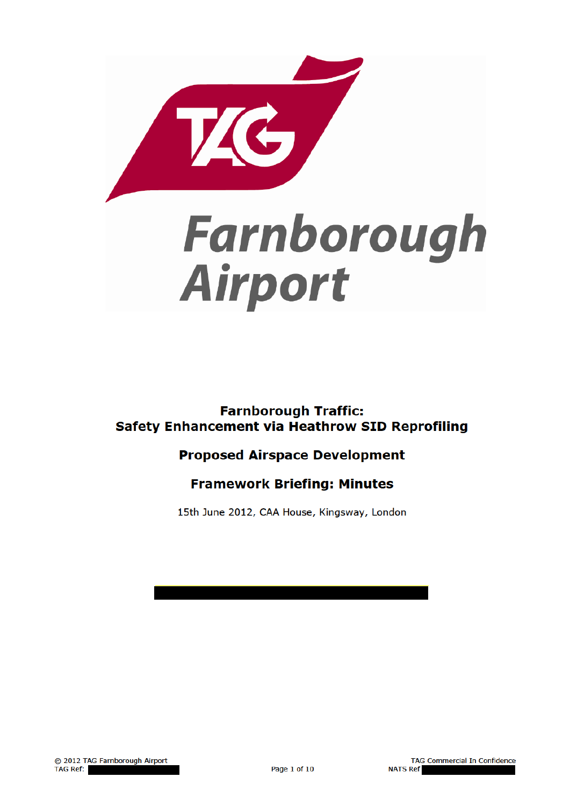

## **Farnborough Traffic: Safety Enhancement via Heathrow SID Reprofiling**

# **Proposed Airspace Development**

# **Framework Briefing: Minutes**

15th June 2012, CAA House, Kingsway, London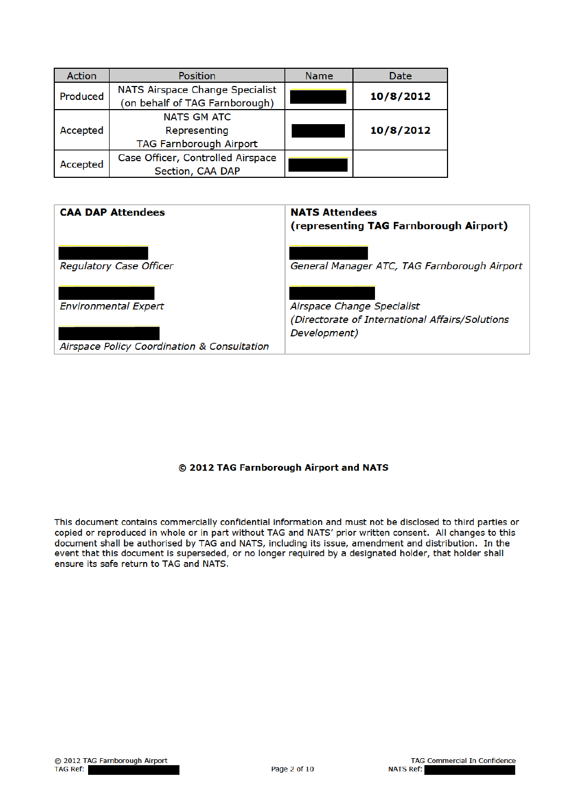| <b>Action</b> | <b>Position</b>                   | <b>Name</b> | Date      |
|---------------|-----------------------------------|-------------|-----------|
| Produced      | NATS Airspace Change Specialist   |             | 10/8/2012 |
|               | (on behalf of TAG Farnborough)    |             |           |
|               | <b>NATS GM ATC</b>                |             |           |
| Accepted      | Representing                      |             | 10/8/2012 |
|               | <b>TAG Farnborough Airport</b>    |             |           |
|               | Case Officer, Controlled Airspace |             |           |
| Accepted      | Section, CAA DAP                  |             |           |



#### © 2012 TAG Farnborough Airport and NATS

This document contains commercially confidential information and must not be disclosed to third parties or copied or reproduced in whole or in part without TAG and NATS' prior written consent. All changes to this document shall be authorised by TAG and NATS, including its issue, amendment and distribution. In the event that this document is superseded, or no longer required by a designated holder, that holder shall ensure its safe return to TAG and NATS.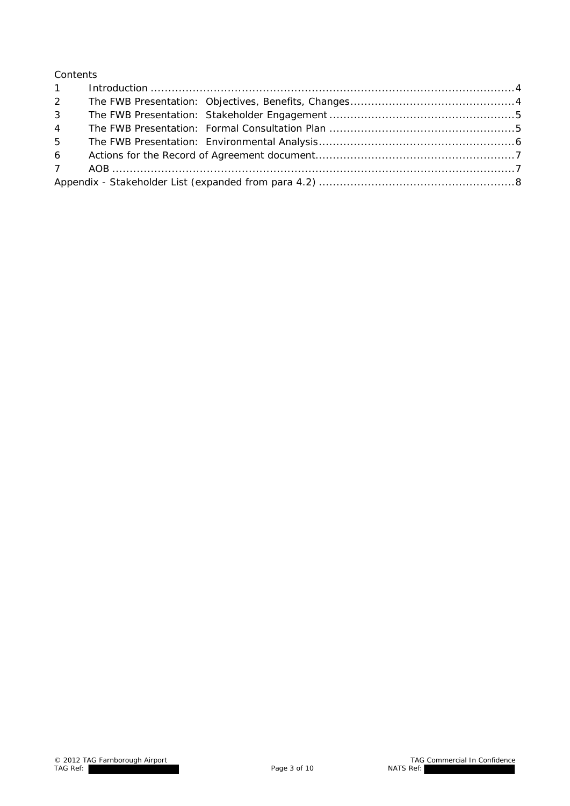#### Contents

| $2^{\circ}$    |  |
|----------------|--|
| 3 <sup>7</sup> |  |
| $\overline{4}$ |  |
| $5^{\circ}$    |  |
|                |  |
| 7              |  |
|                |  |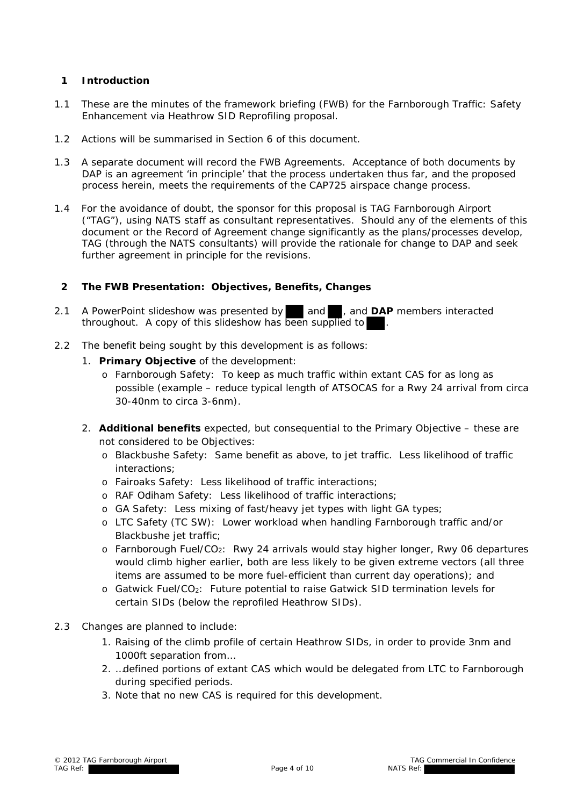#### **1 Introduction**

- 1.1 These are the minutes of the framework briefing (FWB) for the Farnborough Traffic: Safety Enhancement via Heathrow SID Reprofiling proposal.
- 1.2 Actions will be summarised in Section 6 of this document.
- 1.3 A separate document will record the FWB Agreements. Acceptance of both documents by DAP is an agreement 'in principle' that the process undertaken thus far, and the proposed process herein, meets the requirements of the CAP725 airspace change process.
- 1.4 For the avoidance of doubt, the sponsor for this proposal is TAG Farnborough Airport ("TAG"), using NATS staff as consultant representatives. Should any of the elements of this document or the Record of Agreement change significantly as the plans/processes develop, TAG (through the NATS consultants) will provide the rationale for change to DAP and seek further agreement in principle for the revisions.

### **2 The FWB Presentation: Objectives, Benefits, Changes**

- 2.1 A PowerPoint slideshow was presented by and , and DAP members interacted throughout. A copy of this slideshow has been supplied to
- 2.2 The benefit being sought by this development is as follows:
	- 1. **Primary Objective** of the development:
		- o Farnborough Safety: To keep as much traffic within extant CAS for as long as possible (example – reduce typical length of ATSOCAS for a Rwy 24 arrival from circa 30-40nm to circa 3-6nm).
	- 2. **Additional benefits** expected, but consequential to the Primary Objective these are not considered to be Objectives:
		- o Blackbushe Safety: Same benefit as above, to jet traffic. Less likelihood of traffic interactions;
		- o Fairoaks Safety: Less likelihood of traffic interactions;
		- o RAF Odiham Safety: Less likelihood of traffic interactions;
		- o GA Safety: Less mixing of fast/heavy jet types with light GA types;
		- o LTC Safety (TC SW): Lower workload when handling Farnborough traffic and/or Blackbushe jet traffic;
		- o Farnborough Fuel/CO2: Rwy 24 arrivals would stay higher longer, Rwy 06 departures would climb higher earlier, both are less likely to be given extreme vectors (all three items are assumed to be more fuel-efficient than current day operations); and
		- o Gatwick Fuel/CO2: Future potential to raise Gatwick SID termination levels for certain SIDs (below the reprofiled Heathrow SIDs).
- 2.3 Changes are planned to include:
	- 1. Raising of the climb profile of certain Heathrow SIDs, in order to provide 3nm and 1000ft separation from…
	- 2. …defined portions of extant CAS which would be delegated from LTC to Farnborough during specified periods.
	- 3. Note that no new CAS is required for this development.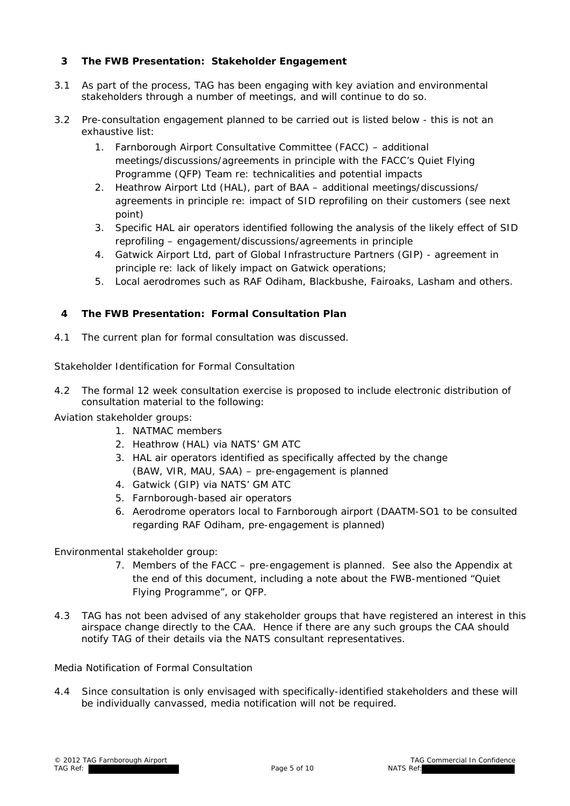### **3 The FWB Presentation: Stakeholder Engagement**

- 3.1 As part of the process, TAG has been engaging with key aviation and environmental stakeholders through a number of meetings, and will continue to do so.
- 3.2 Pre-consultation engagement planned to be carried out is listed below this is not an exhaustive list:
	- 1. Farnborough Airport Consultative Committee (FACC) additional meetings/discussions/agreements in principle with the FACC's Quiet Flying Programme (QFP) Team re: technicalities and potential impacts
	- 2. Heathrow Airport Ltd (HAL), part of BAA additional meetings/discussions/ agreements in principle re: impact of SID reprofiling on their customers (see next point)
	- 3. Specific HAL air operators identified following the analysis of the likely effect of SID reprofiling – engagement/discussions/agreements in principle
	- 4. Gatwick Airport Ltd, part of Global Infrastructure Partners (GIP) agreement in principle re: lack of likely impact on Gatwick operations;
	- 5. Local aerodromes such as RAF Odiham, Blackbushe, Fairoaks, Lasham and others.

#### **4 The FWB Presentation: Formal Consultation Plan**

4.1 The current plan for formal consultation was discussed.

#### *Stakeholder Identification for Formal Consultation*

4.2 The formal 12 week consultation exercise is proposed to include electronic distribution of consultation material to the following:

Aviation stakeholder groups:

- 1. NATMAC members
- 2. Heathrow (HAL) via NATS' GM ATC
- 3. HAL air operators identified as specifically affected by the change (BAW, VIR, MAU, SAA) – pre-engagement is planned
- 4. Gatwick (GIP) via NATS' GM ATC
- 5. Farnborough-based air operators
- 6. Aerodrome operators local to Farnborough airport (DAATM-SO1 to be consulted regarding RAF Odiham, pre-engagement is planned)

#### Environmental stakeholder group:

- 7. Members of the FACC pre-engagement is planned. See also the Appendix at the end of this document, including a note about the FWB-mentioned "Quiet Flying Programme", or QFP.
- 4.3 TAG has not been advised of any stakeholder groups that have registered an interest in this airspace change directly to the CAA. Hence if there are any such groups the CAA should notify TAG of their details via the NATS consultant representatives.

#### *Media Notification of Formal Consultation*

4.4 Since consultation is only envisaged with specifically-identified stakeholders and these will be individually canvassed, media notification will not be required.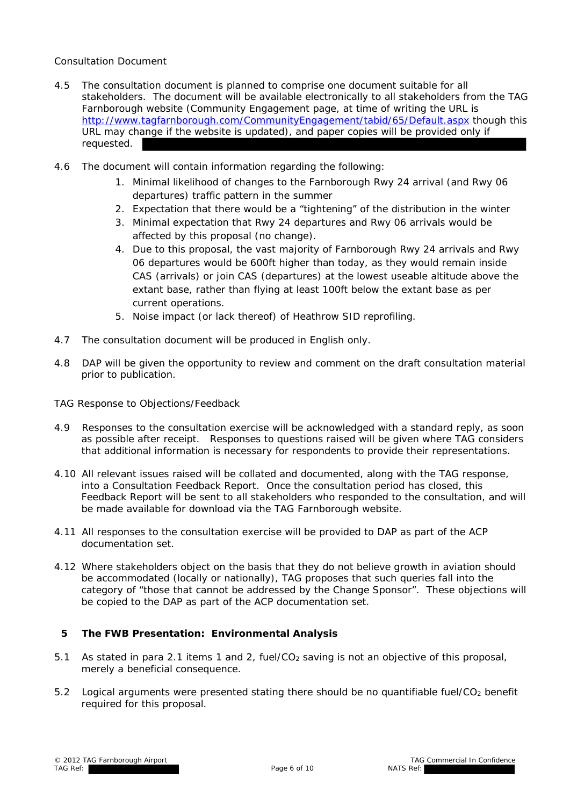#### *Consultation Document*

- 4.5 The consultation document is planned to comprise one document suitable for all stakeholders. The document will be available electronically to all stakeholders from the TAG Farnborough website (Community Engagement page, at time of writing the URL is http://www.tagfarnborough.com/CommunityEngagement/tabid/65/Default.aspx though this URL may change if the website is updated), and paper copies will be provided only if requested.
- 4.6 The document will contain information regarding the following:
	- 1. Minimal likelihood of changes to the Farnborough Rwy 24 arrival (and Rwy 06 departures) traffic pattern in the summer
	- 2. Expectation that there would be a "tightening" of the distribution in the winter
	- 3. Minimal expectation that Rwy 24 departures and Rwy 06 arrivals would be affected by this proposal (no change).
	- 4. Due to this proposal, the vast majority of Farnborough Rwy 24 arrivals and Rwy 06 departures would be 600ft higher than today, as they would remain inside CAS (arrivals) or join CAS (departures) at the lowest useable altitude above the extant base, rather than flying at least 100ft below the extant base as per current operations.
	- 5. Noise impact (or lack thereof) of Heathrow SID reprofiling.
- 4.7 The consultation document will be produced in English only.
- 4.8 DAP will be given the opportunity to review and comment on the draft consultation material prior to publication.

#### *TAG Response to Objections/Feedback*

- 4.9 Responses to the consultation exercise will be acknowledged with a standard reply, as soon as possible after receipt. Responses to questions raised will be given where TAG considers that additional information is necessary for respondents to provide their representations.
- 4.10 All relevant issues raised will be collated and documented, along with the TAG response, into a Consultation Feedback Report. Once the consultation period has closed, this Feedback Report will be sent to all stakeholders who responded to the consultation, and will be made available for download via the TAG Farnborough website.
- 4.11 All responses to the consultation exercise will be provided to DAP as part of the ACP documentation set.
- 4.12 Where stakeholders object on the basis that they do not believe growth in aviation should be accommodated (locally or nationally), TAG proposes that such queries fall into the category of "those that cannot be addressed by the Change Sponsor". These objections will be copied to the DAP as part of the ACP documentation set.

#### **5 The FWB Presentation: Environmental Analysis**

- 5.1 As stated in para 2.1 items 1 and 2, fuel/CO<sub>2</sub> saving is not an objective of this proposal, merely a beneficial consequence.
- 5.2 Logical arguments were presented stating there should be no quantifiable fuel/CO<sub>2</sub> benefit required for this proposal.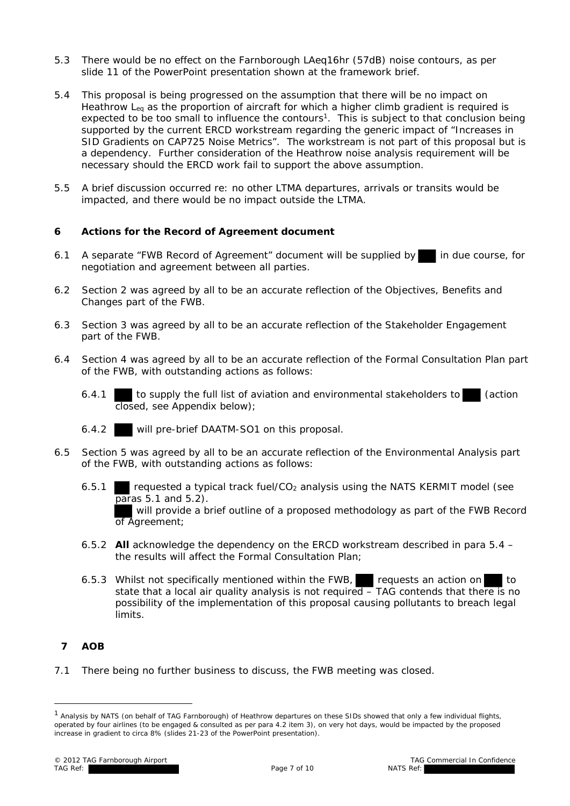- 5.3 There would be no effect on the Farnborough LAeq16hr (57dB) noise contours, as per slide 11 of the PowerPoint presentation shown at the framework brief.
- 5.4 This proposal is being progressed on the assumption that there will be no impact on Heathrow  $L_{eq}$  as the proportion of aircraft for which a higher climb gradient is required is expected to be too small to influence the contours<sup>1</sup>. This is subject to that conclusion being supported by the current ERCD workstream regarding the generic impact of "Increases in SID Gradients on CAP725 Noise Metrics". The workstream is not part of this proposal but is a dependency. Further consideration of the Heathrow noise analysis requirement will be necessary should the ERCD work fail to support the above assumption.
- 5.5 A brief discussion occurred re: no other LTMA departures, arrivals or transits would be impacted, and there would be no impact outside the LTMA.

#### **6 Actions for the Record of Agreement document**

- 6.1 A separate "FWB Record of Agreement" document will be supplied by in due course, for negotiation and agreement between all parties.
- 6.2 Section 2 was agreed by all to be an accurate reflection of the Objectives, Benefits and Changes part of the FWB.
- 6.3 Section 3 was agreed by all to be an accurate reflection of the Stakeholder Engagement part of the FWB.
- 6.4 Section 4 was agreed by all to be an accurate reflection of the Formal Consultation Plan part of the FWB, with outstanding actions as follows:
	- 6.4.1 to supply the full list of aviation and environmental stakeholders to (action closed, see Appendix below);
	- 6.4.2 will pre-brief DAATM-SO1 on this proposal.
- 6.5 Section 5 was agreed by all to be an accurate reflection of the Environmental Analysis part of the FWB, with outstanding actions as follows:
	- 6.5.1 requested a typical track fuel/ $CO<sub>2</sub>$  analysis using the NATS KERMIT model (see  $\overline{par}$  as 5.1 and 5.2). will provide a brief outline of a proposed methodology as part of the FWB Record of Agreement;
	- 6.5.2 **All** acknowledge the dependency on the ERCD workstream described in para 5.4 the results will affect the Formal Consultation Plan;
	- 6.5.3 Whilst not specifically mentioned within the FWB, requests an action on to state that a local air quality analysis is not required – TAG contends that there is no possibility of the implementation of this proposal causing pollutants to breach legal limits.

#### **7 AOB**

-

7.1 There being no further business to discuss, the FWB meeting was closed.

 $1$  Analysis by NATS (on behalf of TAG Farnborough) of Heathrow departures on these SIDs showed that only a few individual flights, operated by four airlines (to be engaged & consulted as per para 4.2 item 3), on very hot days, would be impacted by the proposed increase in gradient to circa 8% (slides 21-23 of the PowerPoint presentation).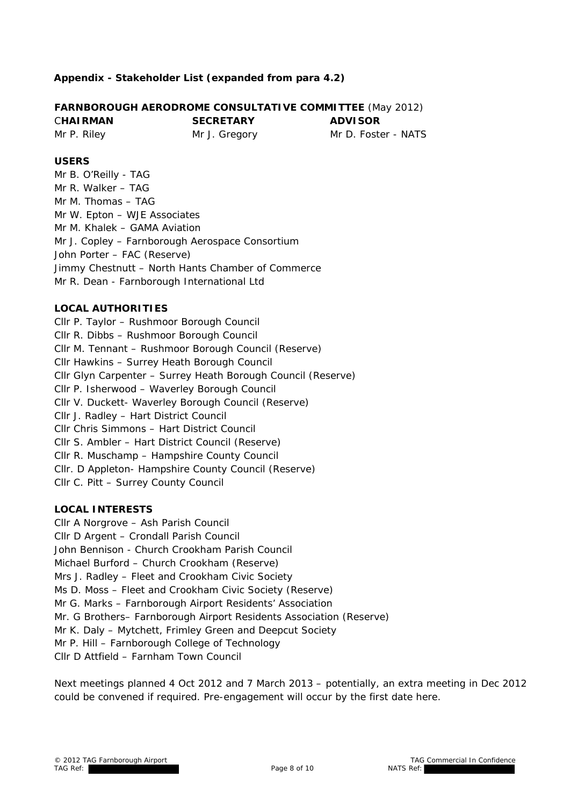#### **Appendix - Stakeholder List (expanded from para 4.2)**

**FARNBOROUGH AERODROME CONSULTATIVE COMMITTEE** (May 2012) C**HAIRMAN SECRETARY ADVISOR** 

Mr P. Riley **Mr J. Gregory** Mr D. Foster - NATS

#### **USERS**

Mr B. O'Reilly - TAG Mr R. Walker – TAG Mr M. Thomas – TAG Mr W. Epton – WJE Associates Mr M. Khalek – GAMA Aviation Mr J. Copley – Farnborough Aerospace Consortium John Porter – FAC (Reserve) Jimmy Chestnutt – North Hants Chamber of Commerce Mr R. Dean - Farnborough International Ltd

#### **LOCAL AUTHORITIES**

Cllr P. Taylor – Rushmoor Borough Council Cllr R. Dibbs – Rushmoor Borough Council Cllr M. Tennant – Rushmoor Borough Council (Reserve) Cllr Hawkins – Surrey Heath Borough Council Cllr Glyn Carpenter – Surrey Heath Borough Council (Reserve) Cllr P. Isherwood – Waverley Borough Council Cllr V. Duckett- Waverley Borough Council (Reserve) Cllr J. Radley – Hart District Council Cllr Chris Simmons – Hart District Council Cllr S. Ambler – Hart District Council (Reserve) Cllr R. Muschamp – Hampshire County Council Cllr. D Appleton- Hampshire County Council (Reserve) Cllr C. Pitt – Surrey County Council

#### **LOCAL INTERESTS**

Cllr A Norgrove – Ash Parish Council Cllr D Argent – Crondall Parish Council John Bennison - Church Crookham Parish Council Michael Burford – Church Crookham (Reserve) Mrs J. Radley – Fleet and Crookham Civic Society Ms D. Moss – Fleet and Crookham Civic Society (Reserve) Mr G. Marks – Farnborough Airport Residents' Association Mr. G Brothers– Farnborough Airport Residents Association (Reserve) Mr K. Daly – Mytchett, Frimley Green and Deepcut Society Mr P. Hill – Farnborough College of Technology Cllr D Attfield – Farnham Town Council

Next meetings planned 4 Oct 2012 and 7 March 2013 – potentially, an extra meeting in Dec 2012 could be convened if required. Pre-engagement will occur by the first date here.

Page 8 of 10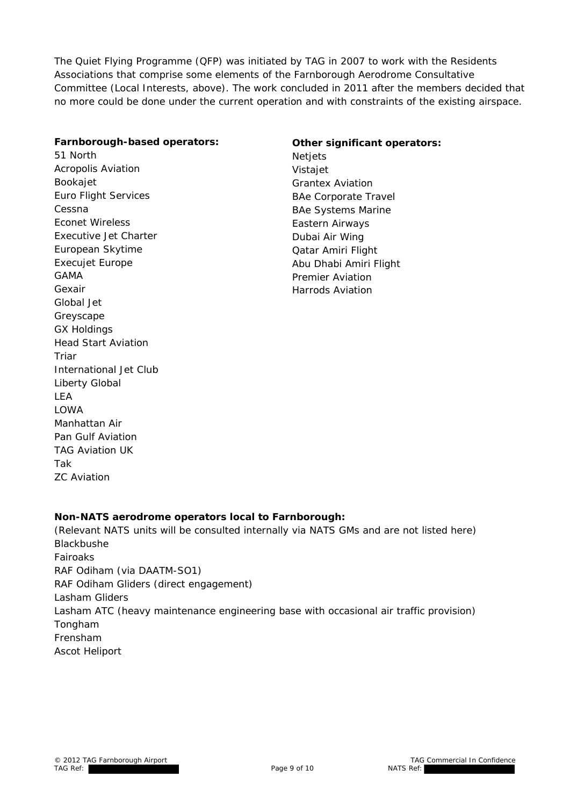The Quiet Flying Programme (QFP) was initiated by TAG in 2007 to work with the Residents Associations that comprise some elements of the Farnborough Aerodrome Consultative Committee (Local Interests, above). The work concluded in 2011 after the members decided that no more could be done under the current operation and with constraints of the existing airspace.

#### **Farnborough-based operators:**

51 North Acropolis Aviation Bookajet Euro Flight Services Cessna Econet Wireless Executive Jet Charter European Skytime Execujet Europe GAMA Gexair Global Jet Greyscape GX Holdings Head Start Aviation Triar International Jet Club Liberty Global LEA LOWA Manhattan Air Pan Gulf Aviation TAG Aviation UK Tak ZC Aviation

#### **Other significant operators:**

**Netjets** Vistajet Grantex Aviation BAe Corporate Travel BAe Systems Marine Eastern Airways Dubai Air Wing Qatar Amiri Flight Abu Dhabi Amiri Flight Premier Aviation Harrods Aviation

### **Non-NATS aerodrome operators local to Farnborough:**

(Relevant NATS units will be consulted internally via NATS GMs and are not listed here) Blackbushe Fairoaks RAF Odiham (via DAATM-SO1) RAF Odiham Gliders (direct engagement) Lasham Gliders Lasham ATC (heavy maintenance engineering base with occasional air traffic provision) Tongham Frensham Ascot Heliport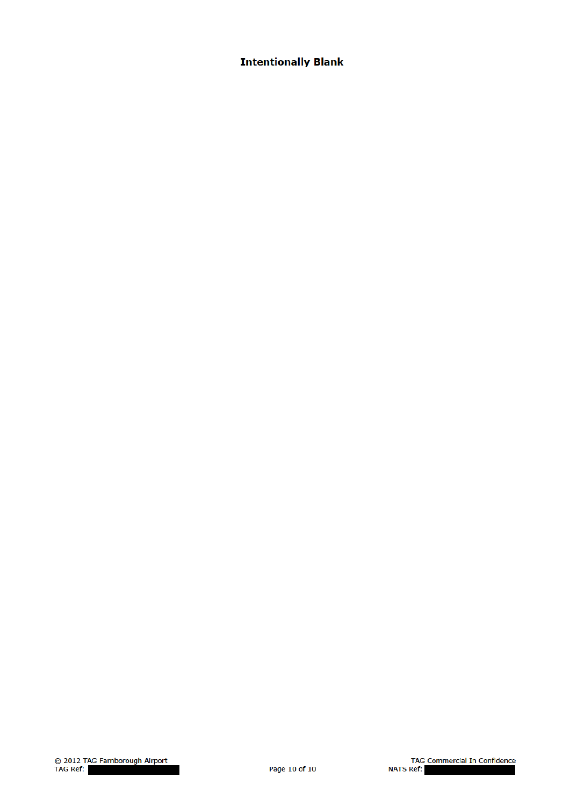### **Intentionally Blank**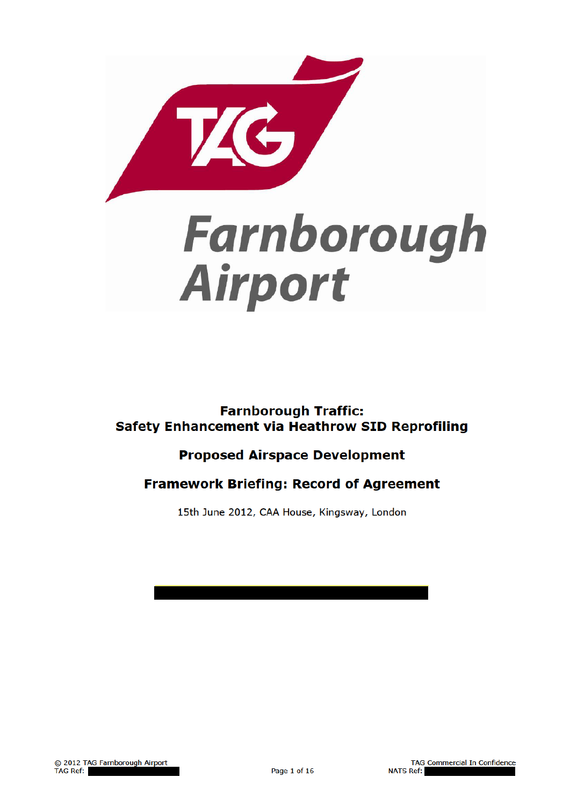

## **Farnborough Traffic: Safety Enhancement via Heathrow SID Reprofiling**

# **Proposed Airspace Development**

# **Framework Briefing: Record of Agreement**

15th June 2012, CAA House, Kingsway, London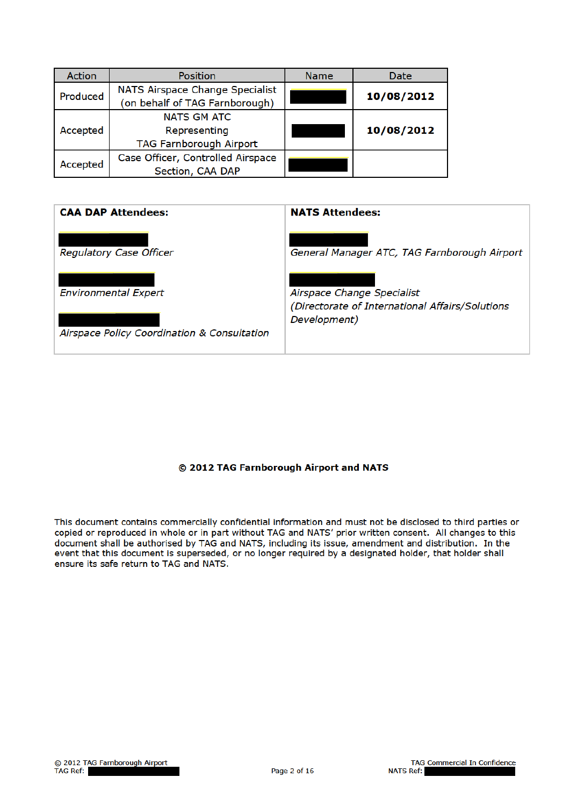| <b>Action</b> | <b>Position</b>                   | <b>Name</b> | Date       |
|---------------|-----------------------------------|-------------|------------|
| Produced      | NATS Airspace Change Specialist   |             | 10/08/2012 |
|               | (on behalf of TAG Farnborough)    |             |            |
|               | <b>NATS GM ATC</b>                |             |            |
| Accepted      | Representing                      |             | 10/08/2012 |
|               | TAG Farnborough Airport           |             |            |
|               | Case Officer, Controlled Airspace |             |            |
| Accepted      | Section, CAA DAP                  |             |            |

| <b>CAA DAP Attendees:</b>                   | <b>NATS Attendees:</b>                                                        |  |  |  |  |  |
|---------------------------------------------|-------------------------------------------------------------------------------|--|--|--|--|--|
| <b>Regulatory Case Officer</b>              | General Manager ATC, TAG Farnborough Airport                                  |  |  |  |  |  |
| <b>Environmental Expert</b>                 | Airspace Change Specialist<br>(Directorate of International Affairs/Solutions |  |  |  |  |  |
| Airspace Policy Coordination & Consultation | Development)                                                                  |  |  |  |  |  |

#### © 2012 TAG Farnborough Airport and NATS

This document contains commercially confidential information and must not be disclosed to third parties or copied or reproduced in whole or in part without TAG and NATS' prior written consent. All changes to this document ensure its safe return to TAG and NATS.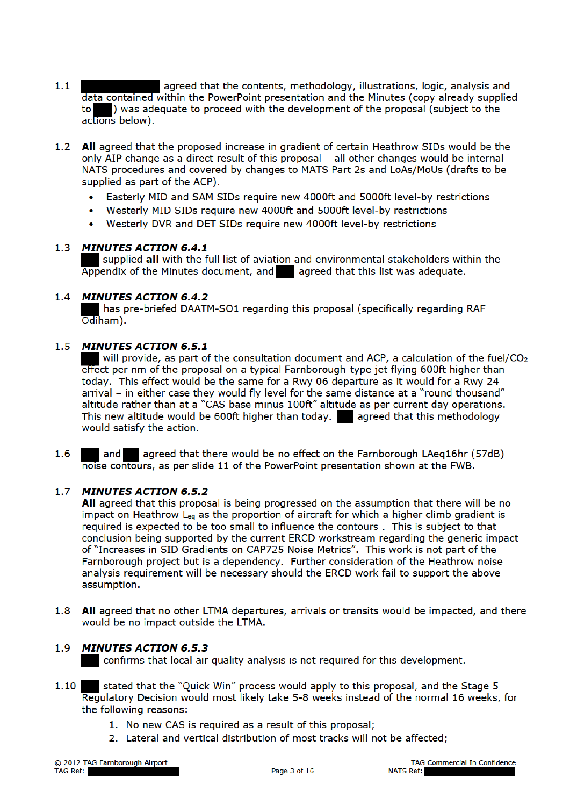- $1.1$ agreed that the contents, methodology, illustrations, logic, analysis and data contained within the PowerPoint presentation and the Minutes (copy already supplied ) was adequate to proceed with the development of the proposal (subject to the to actions below).
- 1.2 All agreed that the proposed increase in gradient of certain Heathrow SIDs would be the only AIP change as a direct result of this proposal - all other changes would be internal NATS procedures and covered by changes to MATS Part 2s and LoAs/MoUs (drafts to be supplied as part of the ACP).
	- Easterly MID and SAM SIDs require new 4000ft and 5000ft level-by restrictions
	- Westerly MID SIDs require new 4000ft and 5000ft level-by restrictions  $\bullet$
	- Westerly DVR and DET SIDs require new 4000ft level-by restrictions

### 1.3 MINUTES ACTION 6.4.1

supplied all with the full list of aviation and environmental stakeholders within the Appendix of the Minutes document, and agreed that this list was adequate.

#### 1.4 MINUTES ACTION 6.4.2

has pre-briefed DAATM-SO1 regarding this proposal (specifically regarding RAF Odiham).

#### 1.5 MINUTES ACTION 6.5.1

will provide, as part of the consultation document and ACP, a calculation of the fuel/CO<sub>2</sub> effect per nm of the proposal on a typical Farnborough-type jet flying 600ft higher than today. This effect would be the same for a Rwy 06 departure as it would for a Rwy 24 arrival - in either case they would fly level for the same distance at a "round thousand" altitude rather than at a "CAS base minus 100ft" altitude as per current day operations. This new altitude would be 600ft higher than today. This agreed that this methodology would satisfy the action.

and agreed that there would be no effect on the Farnborough LAeq16hr (57dB)  $1.6$ noise contours, as per slide 11 of the PowerPoint presentation shown at the FWB.

#### 1.7 MINUTES ACTION 6.5.2

All agreed that this proposal is being progressed on the assumption that there will be no impact on Heathrow L<sub>eg</sub> as the proportion of aircraft for which a higher climb gradient is required is expected to be too small to influence the contours. This is subject to that conclusion being supported by the current ERCD workstream regarding the generic impact of "Increases in SID Gradients on CAP725 Noise Metrics". This work is not part of the Farnborough project but is a dependency. Further consideration of the Heathrow noise analysis requirement will be necessary should the ERCD work fail to support the above assumption.

1.8 All agreed that no other LTMA departures, arrivals or transits would be impacted, and there would be no impact outside the LTMA.

#### 1.9 MINUTES ACTION 6.5.3

confirms that local air quality analysis is not required for this development.

- 1.10 stated that the "Quick Win" process would apply to this proposal, and the Stage 5 Regulatory Decision would most likely take 5-8 weeks instead of the normal 16 weeks, for the following reasons:
	- 1. No new CAS is required as a result of this proposal;
	- 2. Lateral and vertical distribution of most tracks will not be affected;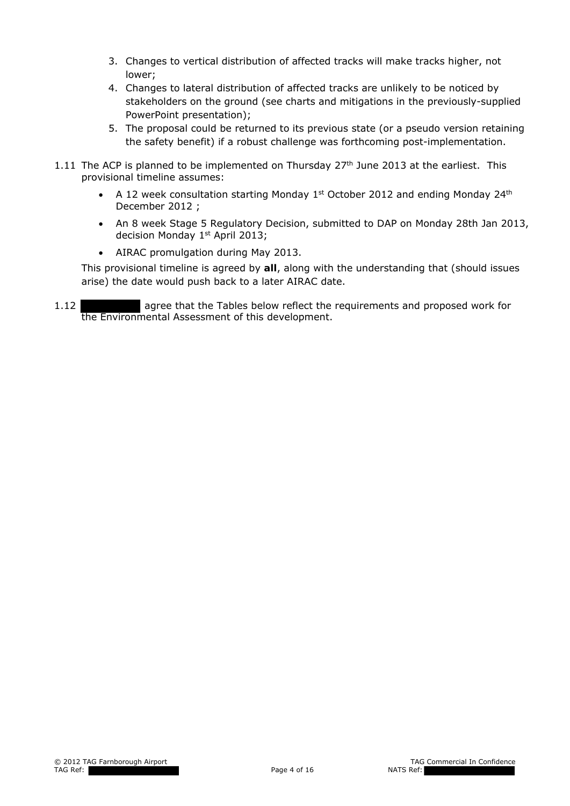- 3. Changes to vertical distribution of affected tracks will make tracks higher, not lower;
- 4. Changes to lateral distribution of affected tracks are unlikely to be noticed by stakeholders on the ground (see charts and mitigations in the previously-supplied PowerPoint presentation);
- 5. The proposal could be returned to its previous state (or a pseudo version retaining the safety benefit) if a robust challenge was forthcoming post-implementation.
- 1.11 The ACP is planned to be implemented on Thursday  $27<sup>th</sup>$  June 2013 at the earliest. This provisional timeline assumes:
	- A 12 week consultation starting Monday 1st October 2012 and ending Monday 24th December 2012 ;
	- An 8 week Stage 5 Regulatory Decision, submitted to DAP on Monday 28th Jan 2013, decision Monday 1<sup>st</sup> April 2013;
	- AIRAC promulgation during May 2013.

This provisional timeline is agreed by **all**, along with the understanding that (should issues arise) the date would push back to a later AIRAC date.

1.12 agree that the Tables below reflect the requirements and proposed work for the Environmental Assessment of this development.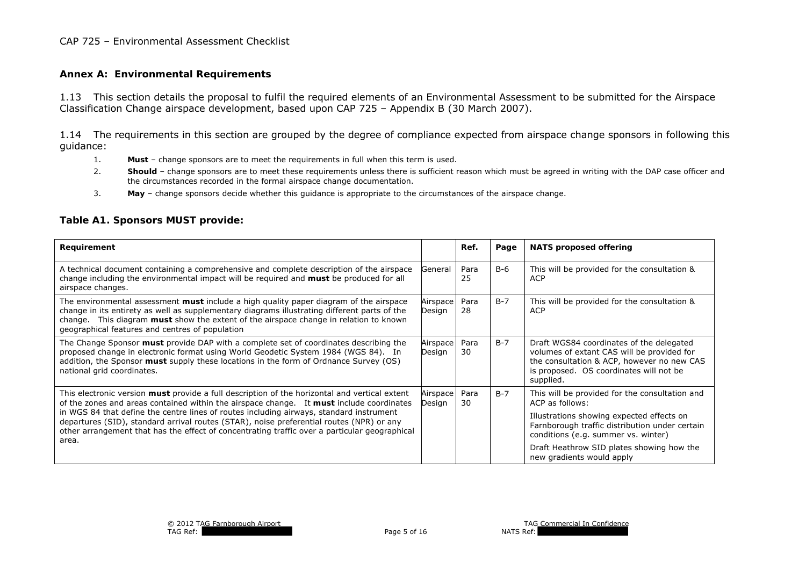#### CAP 725 – Environmental Assessment Checklist

#### **Annex A: Environmental Requirements**

1.13 This section details the proposal to fulfil the required elements of an Environmental Assessment to be submitted for the Airspace Classification Change airspace development, based upon CAP 725 – Appendix B (30 March 2007).

1.14 The requirements in this section are grouped by the degree of compliance expected from airspace change sponsors in following this guidance:

- 1.**Must** – change sponsors are to meet the requirements in full when this term is used.
- 2. **Should** – change sponsors are to meet these requirements unless there is sufficient reason which must be agreed in writing with the DAP case officer and the circumstances recorded in the formal airspace change documentation.
- 3.**May** – change sponsors decide whether this guidance is appropriate to the circumstances of the airspace change.

#### **Table A1. Sponsors MUST provide:**

| Requirement                                                                                                                                                                                                                                                                                                                        |                      | Ref.       | Page  | <b>NATS proposed offering</b>                                                                                                                                                                |
|------------------------------------------------------------------------------------------------------------------------------------------------------------------------------------------------------------------------------------------------------------------------------------------------------------------------------------|----------------------|------------|-------|----------------------------------------------------------------------------------------------------------------------------------------------------------------------------------------------|
| A technical document containing a comprehensive and complete description of the airspace<br>change including the environmental impact will be required and must be produced for all<br>airspace changes.                                                                                                                           | General              | Para<br>25 | $B-6$ | This will be provided for the consultation &<br><b>ACP</b>                                                                                                                                   |
| The environmental assessment must include a high quality paper diagram of the airspace<br>change in its entirety as well as supplementary diagrams illustrating different parts of the<br>change. This diagram must show the extent of the airspace change in relation to known<br>geographical features and centres of population | Airspace  <br>Design | Para<br>28 | $B-7$ | This will be provided for the consultation &<br><b>ACP</b>                                                                                                                                   |
| The Change Sponsor must provide DAP with a complete set of coordinates describing the<br>proposed change in electronic format using World Geodetic System 1984 (WGS 84). In<br>addition, the Sponsor must supply these locations in the form of Ordnance Survey (OS)<br>national grid coordinates.                                 | Airspace  <br>Design | Para<br>30 | $B-7$ | Draft WGS84 coordinates of the delegated<br>volumes of extant CAS will be provided for<br>the consultation & ACP, however no new CAS<br>is proposed. OS coordinates will not be<br>supplied. |
| This electronic version must provide a full description of the horizontal and vertical extent<br>of the zones and areas contained within the airspace change. It must include coordinates                                                                                                                                          | Airspace<br>Design   | Para<br>30 | $B-7$ | This will be provided for the consultation and<br>ACP as follows:                                                                                                                            |
| in WGS 84 that define the centre lines of routes including airways, standard instrument<br>departures (SID), standard arrival routes (STAR), noise preferential routes (NPR) or any<br>other arrangement that has the effect of concentrating traffic over a particular geographical                                               |                      |            |       | Illustrations showing expected effects on<br>Farnborough traffic distribution under certain<br>conditions (e.g. summer vs. winter)                                                           |
| area.                                                                                                                                                                                                                                                                                                                              |                      |            |       | Draft Heathrow SID plates showing how the<br>new gradients would apply                                                                                                                       |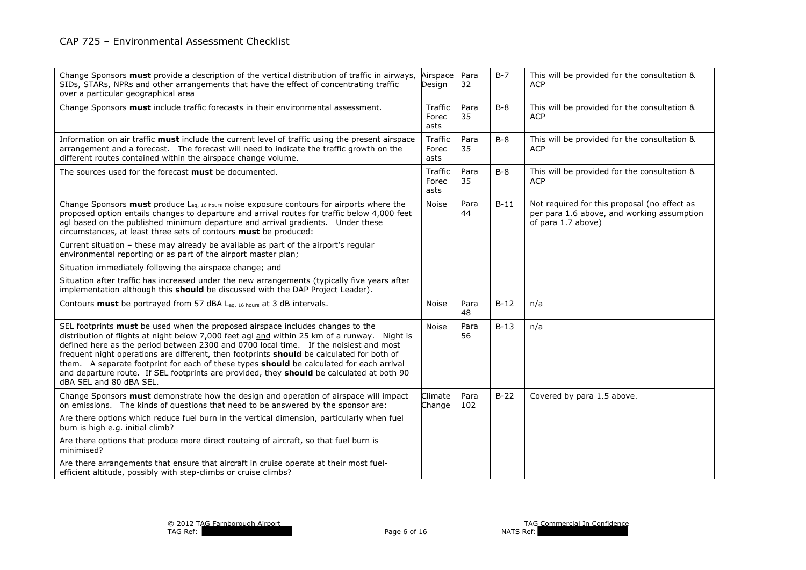| Change Sponsors must provide a description of the vertical distribution of traffic in airways,<br>SIDs, STARs, NPRs and other arrangements that have the effect of concentrating traffic<br>over a particular geographical area                                                                                                                                                                                                                                                                                                                                                          | Airspace<br>Design       | Para<br>32  | $B-7$  | This will be provided for the consultation &<br><b>ACP</b>                                                       |
|------------------------------------------------------------------------------------------------------------------------------------------------------------------------------------------------------------------------------------------------------------------------------------------------------------------------------------------------------------------------------------------------------------------------------------------------------------------------------------------------------------------------------------------------------------------------------------------|--------------------------|-------------|--------|------------------------------------------------------------------------------------------------------------------|
| Change Sponsors must include traffic forecasts in their environmental assessment.                                                                                                                                                                                                                                                                                                                                                                                                                                                                                                        | Traffic<br>Forec<br>asts | Para<br>35  | $B-8$  | This will be provided for the consultation &<br><b>ACP</b>                                                       |
| Information on air traffic must include the current level of traffic using the present airspace<br>arrangement and a forecast. The forecast will need to indicate the traffic growth on the<br>different routes contained within the airspace change volume.                                                                                                                                                                                                                                                                                                                             | Traffic<br>Forec<br>asts | Para<br>35  | $B-8$  | This will be provided for the consultation &<br><b>ACP</b>                                                       |
| The sources used for the forecast must be documented.                                                                                                                                                                                                                                                                                                                                                                                                                                                                                                                                    | Traffic<br>Forec<br>asts | Para<br>35  | $B-8$  | This will be provided for the consultation &<br><b>ACP</b>                                                       |
| Change Sponsors must produce $L_{eq}$ , 16 hours noise exposure contours for airports where the<br>proposed option entails changes to departure and arrival routes for traffic below 4,000 feet<br>agl based on the published minimum departure and arrival gradients. Under these<br>circumstances, at least three sets of contours must be produced:                                                                                                                                                                                                                                   | Noise                    | Para<br>44  | $B-11$ | Not required for this proposal (no effect as<br>per para 1.6 above, and working assumption<br>of para 1.7 above) |
| Current situation - these may already be available as part of the airport's regular<br>environmental reporting or as part of the airport master plan;                                                                                                                                                                                                                                                                                                                                                                                                                                    |                          |             |        |                                                                                                                  |
| Situation immediately following the airspace change; and                                                                                                                                                                                                                                                                                                                                                                                                                                                                                                                                 |                          |             |        |                                                                                                                  |
| Situation after traffic has increased under the new arrangements (typically five years after<br>implementation although this should be discussed with the DAP Project Leader).                                                                                                                                                                                                                                                                                                                                                                                                           |                          |             |        |                                                                                                                  |
| Contours must be portrayed from 57 dBA Leq, 16 hours at 3 dB intervals.                                                                                                                                                                                                                                                                                                                                                                                                                                                                                                                  | <b>Noise</b>             | Para<br>48  | $B-12$ | n/a                                                                                                              |
| SEL footprints must be used when the proposed airspace includes changes to the<br>distribution of flights at night below 7,000 feet agl and within 25 km of a runway. Night is<br>defined here as the period between 2300 and 0700 local time. If the noisiest and most<br>frequent night operations are different, then footprints should be calculated for both of<br>them. A separate footprint for each of these types should be calculated for each arrival<br>and departure route. If SEL footprints are provided, they should be calculated at both 90<br>dBA SEL and 80 dBA SEL. | <b>Noise</b>             | Para<br>56  | $B-13$ | n/a                                                                                                              |
| Change Sponsors must demonstrate how the design and operation of airspace will impact<br>on emissions. The kinds of questions that need to be answered by the sponsor are:                                                                                                                                                                                                                                                                                                                                                                                                               | Climate<br>Change        | Para<br>102 | $B-22$ | Covered by para 1.5 above.                                                                                       |
| Are there options which reduce fuel burn in the vertical dimension, particularly when fuel<br>burn is high e.g. initial climb?                                                                                                                                                                                                                                                                                                                                                                                                                                                           |                          |             |        |                                                                                                                  |
| Are there options that produce more direct routeing of aircraft, so that fuel burn is<br>minimised?                                                                                                                                                                                                                                                                                                                                                                                                                                                                                      |                          |             |        |                                                                                                                  |
| Are there arrangements that ensure that aircraft in cruise operate at their most fuel-<br>efficient altitude, possibly with step-climbs or cruise climbs?                                                                                                                                                                                                                                                                                                                                                                                                                                |                          |             |        |                                                                                                                  |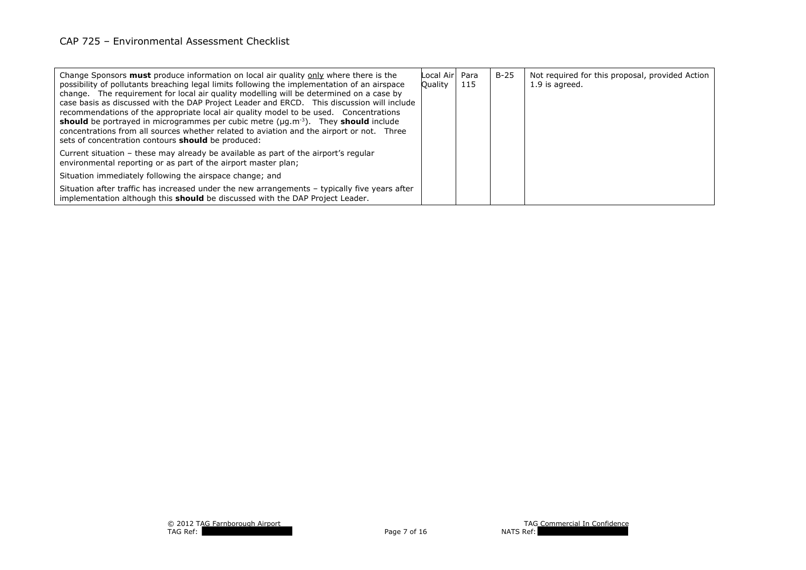| Change Sponsors must produce information on local air quality only where there is the<br>possibility of pollutants breaching legal limits following the implementation of an airspace<br>change. The requirement for local air quality modelling will be determined on a case by<br>case basis as discussed with the DAP Project Leader and ERCD. This discussion will include<br>recommendations of the appropriate local air quality model to be used. Concentrations<br>should be portrayed in microgrammes per cubic metre $(\mu q.m^{-3})$ . They should include<br>concentrations from all sources whether related to aviation and the airport or not. Three<br>sets of concentration contours should be produced: | Local Airl Para<br><b>Quality</b> | 115 | $B-25$ | Not required for this proposal, provided Action<br>1.9 is agreed. |
|--------------------------------------------------------------------------------------------------------------------------------------------------------------------------------------------------------------------------------------------------------------------------------------------------------------------------------------------------------------------------------------------------------------------------------------------------------------------------------------------------------------------------------------------------------------------------------------------------------------------------------------------------------------------------------------------------------------------------|-----------------------------------|-----|--------|-------------------------------------------------------------------|
| Current situation – these may already be available as part of the airport's regular<br>environmental reporting or as part of the airport master plan;                                                                                                                                                                                                                                                                                                                                                                                                                                                                                                                                                                    |                                   |     |        |                                                                   |
| Situation immediately following the airspace change; and                                                                                                                                                                                                                                                                                                                                                                                                                                                                                                                                                                                                                                                                 |                                   |     |        |                                                                   |
| Situation after traffic has increased under the new arrangements - typically five years after<br>implementation although this should be discussed with the DAP Project Leader.                                                                                                                                                                                                                                                                                                                                                                                                                                                                                                                                           |                                   |     |        |                                                                   |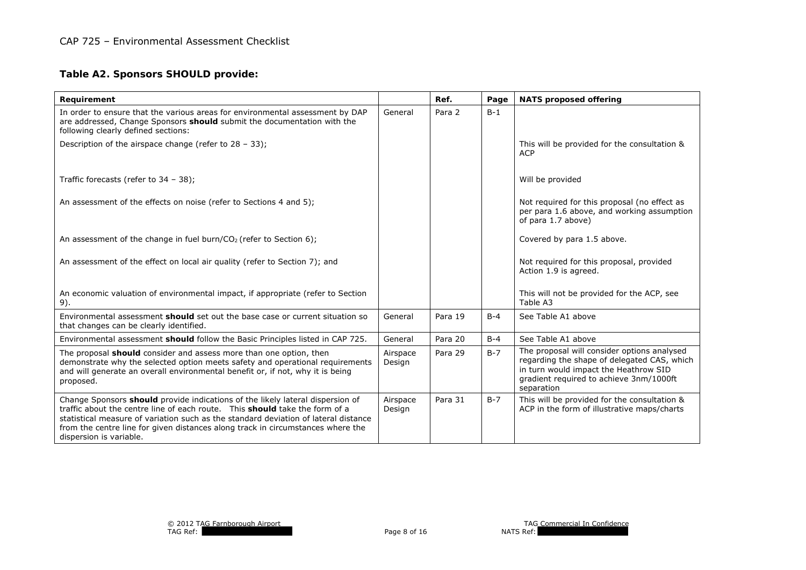#### **Table A2. Sponsors SHOULD provide:**

| Requirement                                                                                                                                                                                                                                                                                                                                                               |                    | Ref.    | Page  | <b>NATS proposed offering</b>                                                                                                                                                                |
|---------------------------------------------------------------------------------------------------------------------------------------------------------------------------------------------------------------------------------------------------------------------------------------------------------------------------------------------------------------------------|--------------------|---------|-------|----------------------------------------------------------------------------------------------------------------------------------------------------------------------------------------------|
| In order to ensure that the various areas for environmental assessment by DAP<br>are addressed, Change Sponsors should submit the documentation with the<br>following clearly defined sections:                                                                                                                                                                           | General            | Para 2  | $B-1$ |                                                                                                                                                                                              |
| Description of the airspace change (refer to $28 - 33$ );                                                                                                                                                                                                                                                                                                                 |                    |         |       | This will be provided for the consultation &<br><b>ACP</b>                                                                                                                                   |
| Traffic forecasts (refer to $34 - 38$ );                                                                                                                                                                                                                                                                                                                                  |                    |         |       | Will be provided                                                                                                                                                                             |
| An assessment of the effects on noise (refer to Sections 4 and 5);                                                                                                                                                                                                                                                                                                        |                    |         |       | Not required for this proposal (no effect as<br>per para 1.6 above, and working assumption<br>of para 1.7 above)                                                                             |
| An assessment of the change in fuel burn/ $CO2$ (refer to Section 6);                                                                                                                                                                                                                                                                                                     |                    |         |       | Covered by para 1.5 above.                                                                                                                                                                   |
| An assessment of the effect on local air quality (refer to Section 7); and                                                                                                                                                                                                                                                                                                |                    |         |       | Not required for this proposal, provided<br>Action 1.9 is agreed.                                                                                                                            |
| An economic valuation of environmental impact, if appropriate (refer to Section<br>9).                                                                                                                                                                                                                                                                                    |                    |         |       | This will not be provided for the ACP, see<br>Table A3                                                                                                                                       |
| Environmental assessment should set out the base case or current situation so<br>that changes can be clearly identified.                                                                                                                                                                                                                                                  | General            | Para 19 | $B-4$ | See Table A1 above                                                                                                                                                                           |
| Environmental assessment should follow the Basic Principles listed in CAP 725.                                                                                                                                                                                                                                                                                            | General            | Para 20 | $B-4$ | See Table A1 above                                                                                                                                                                           |
| The proposal should consider and assess more than one option, then<br>demonstrate why the selected option meets safety and operational requirements<br>and will generate an overall environmental benefit or, if not, why it is being<br>proposed.                                                                                                                        | Airspace<br>Design | Para 29 | $B-7$ | The proposal will consider options analysed<br>regarding the shape of delegated CAS, which<br>in turn would impact the Heathrow SID<br>gradient required to achieve 3nm/1000ft<br>separation |
| Change Sponsors should provide indications of the likely lateral dispersion of<br>traffic about the centre line of each route. This <b>should</b> take the form of a<br>statistical measure of variation such as the standard deviation of lateral distance<br>from the centre line for given distances along track in circumstances where the<br>dispersion is variable. | Airspace<br>Design | Para 31 | $B-7$ | This will be provided for the consultation &<br>ACP in the form of illustrative maps/charts                                                                                                  |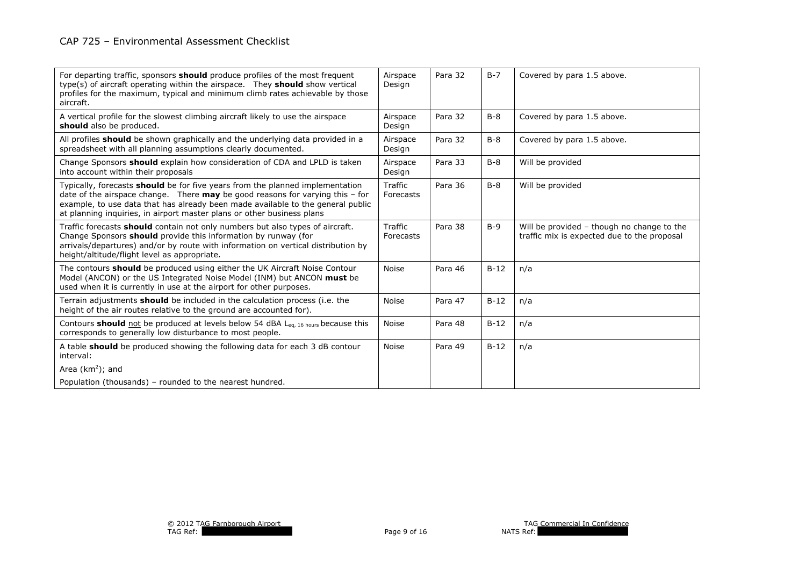| For departing traffic, sponsors should produce profiles of the most frequent<br>type(s) of aircraft operating within the airspace. They should show vertical<br>profiles for the maximum, typical and minimum climb rates achievable by those<br>aircraft.                                                                  | Airspace<br>Design   | Para 32 | $B-7$  | Covered by para 1.5 above.                                                                |
|-----------------------------------------------------------------------------------------------------------------------------------------------------------------------------------------------------------------------------------------------------------------------------------------------------------------------------|----------------------|---------|--------|-------------------------------------------------------------------------------------------|
| A vertical profile for the slowest climbing aircraft likely to use the airspace<br>should also be produced.                                                                                                                                                                                                                 | Airspace<br>Design   | Para 32 | $B-8$  | Covered by para 1.5 above.                                                                |
| All profiles should be shown graphically and the underlying data provided in a<br>spreadsheet with all planning assumptions clearly documented.                                                                                                                                                                             | Airspace<br>Design   | Para 32 | $B-8$  | Covered by para 1.5 above.                                                                |
| Change Sponsors should explain how consideration of CDA and LPLD is taken<br>into account within their proposals                                                                                                                                                                                                            | Airspace<br>Design   | Para 33 | $B-8$  | Will be provided                                                                          |
| Typically, forecasts should be for five years from the planned implementation<br>date of the airspace change. There may be good reasons for varying this - for<br>example, to use data that has already been made available to the general public<br>at planning inquiries, in airport master plans or other business plans | Traffic<br>Forecasts | Para 36 | $B-8$  | Will be provided                                                                          |
| Traffic forecasts should contain not only numbers but also types of aircraft.<br>Change Sponsors should provide this information by runway (for<br>arrivals/departures) and/or by route with information on vertical distribution by<br>height/altitude/flight level as appropriate.                                        | Traffic<br>Forecasts | Para 38 | $B-9$  | Will be provided - though no change to the<br>traffic mix is expected due to the proposal |
| The contours should be produced using either the UK Aircraft Noise Contour<br>Model (ANCON) or the US Integrated Noise Model (INM) but ANCON must be<br>used when it is currently in use at the airport for other purposes.                                                                                                 | Noise                | Para 46 | $B-12$ | n/a                                                                                       |
| Terrain adjustments should be included in the calculation process (i.e. the<br>height of the air routes relative to the ground are accounted for).                                                                                                                                                                          | <b>Noise</b>         | Para 47 | $B-12$ | n/a                                                                                       |
| Contours should not be produced at levels below 54 dBA Leq, 16 hours because this<br>corresponds to generally low disturbance to most people.                                                                                                                                                                               | <b>Noise</b>         | Para 48 | $B-12$ | n/a                                                                                       |
| A table should be produced showing the following data for each 3 dB contour<br>interval:                                                                                                                                                                                                                                    | Noise                | Para 49 | $B-12$ | n/a                                                                                       |
| Area $(km^2)$ ; and                                                                                                                                                                                                                                                                                                         |                      |         |        |                                                                                           |
| Population (thousands) – rounded to the nearest hundred.                                                                                                                                                                                                                                                                    |                      |         |        |                                                                                           |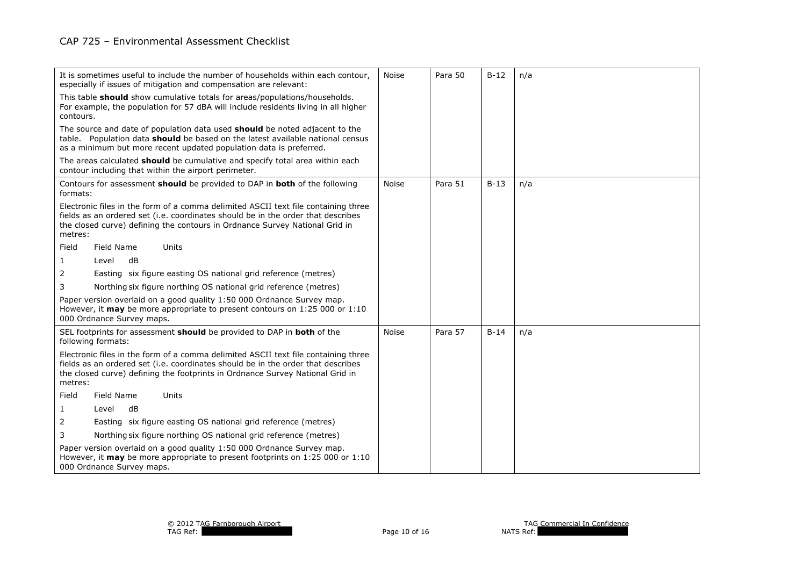### CAP 725 – Environmental Assessment Checklist

| It is sometimes useful to include the number of households within each contour,<br>especially if issues of mitigation and compensation are relevant:                                                                                                               | <b>Noise</b> | Para 50 | $B-12$ | n/a |
|--------------------------------------------------------------------------------------------------------------------------------------------------------------------------------------------------------------------------------------------------------------------|--------------|---------|--------|-----|
| This table should show cumulative totals for areas/populations/households.<br>For example, the population for 57 dBA will include residents living in all higher<br>contours.                                                                                      |              |         |        |     |
| The source and date of population data used should be noted adjacent to the<br>table. Population data should be based on the latest available national census<br>as a minimum but more recent updated population data is preferred.                                |              |         |        |     |
| The areas calculated should be cumulative and specify total area within each<br>contour including that within the airport perimeter.                                                                                                                               |              |         |        |     |
| Contours for assessment should be provided to DAP in both of the following<br>formats:                                                                                                                                                                             | <b>Noise</b> | Para 51 | $B-13$ | n/a |
| Electronic files in the form of a comma delimited ASCII text file containing three<br>fields as an ordered set (i.e. coordinates should be in the order that describes<br>the closed curve) defining the contours in Ordnance Survey National Grid in<br>metres:   |              |         |        |     |
| Field Name<br>Field<br>Units                                                                                                                                                                                                                                       |              |         |        |     |
| dB<br>$\mathbf{1}$<br>Level                                                                                                                                                                                                                                        |              |         |        |     |
| 2<br>Easting six figure easting OS national grid reference (metres)                                                                                                                                                                                                |              |         |        |     |
| 3<br>Northing six figure northing OS national grid reference (metres)                                                                                                                                                                                              |              |         |        |     |
| Paper version overlaid on a good quality 1:50 000 Ordnance Survey map.<br>However, it may be more appropriate to present contours on 1:25 000 or 1:10<br>000 Ordnance Survey maps.                                                                                 |              |         |        |     |
| SEL footprints for assessment should be provided to DAP in both of the<br>following formats:                                                                                                                                                                       | <b>Noise</b> | Para 57 | $B-14$ | n/a |
| Electronic files in the form of a comma delimited ASCII text file containing three<br>fields as an ordered set (i.e. coordinates should be in the order that describes<br>the closed curve) defining the footprints in Ordnance Survey National Grid in<br>metres: |              |         |        |     |
| Field Name<br>Field<br>Units                                                                                                                                                                                                                                       |              |         |        |     |
| $\mathbf{1}$<br>Level<br>dB                                                                                                                                                                                                                                        |              |         |        |     |
| 2<br>Easting six figure easting OS national grid reference (metres)                                                                                                                                                                                                |              |         |        |     |
| 3<br>Northing six figure northing OS national grid reference (metres)                                                                                                                                                                                              |              |         |        |     |
| Paper version overlaid on a good quality 1:50 000 Ordnance Survey map.<br>However, it may be more appropriate to present footprints on 1:25 000 or 1:10<br>000 Ordnance Survey maps.                                                                               |              |         |        |     |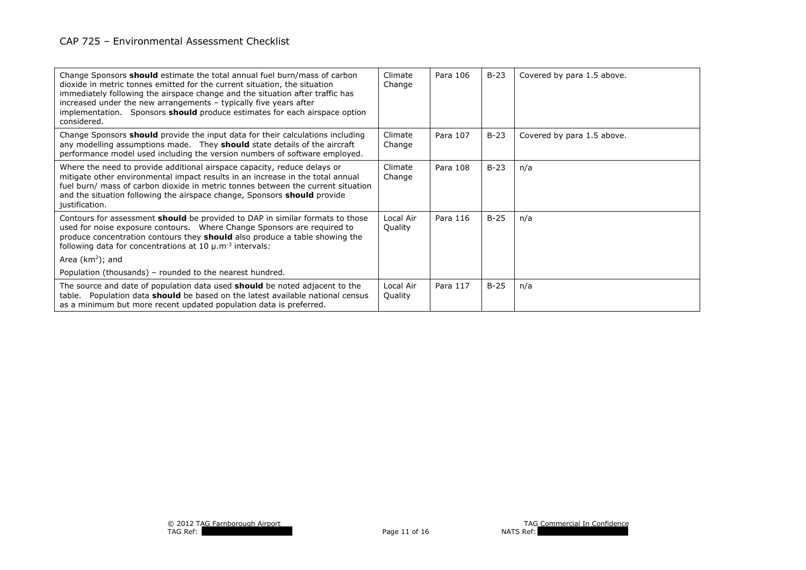| Change Sponsors should estimate the total annual fuel burn/mass of carbon<br>dioxide in metric tonnes emitted for the current situation, the situation<br>immediately following the airspace change and the situation after traffic has<br>increased under the new arrangements - typically five years after<br>implementation. Sponsors should produce estimates for each airspace option<br>considered. | Climate<br>Change    | Para 106 | $B-23$ | Covered by para 1.5 above. |
|-----------------------------------------------------------------------------------------------------------------------------------------------------------------------------------------------------------------------------------------------------------------------------------------------------------------------------------------------------------------------------------------------------------|----------------------|----------|--------|----------------------------|
| Change Sponsors should provide the input data for their calculations including<br>any modelling assumptions made. They <b>should</b> state details of the aircraft<br>performance model used including the version numbers of software employed.                                                                                                                                                          | Climate<br>Change    | Para 107 | $B-23$ | Covered by para 1.5 above. |
| Where the need to provide additional airspace capacity, reduce delays or<br>mitigate other environmental impact results in an increase in the total annual<br>fuel burn/ mass of carbon dioxide in metric tonnes between the current situation<br>and the situation following the airspace change, Sponsors should provide<br>justification.                                                              | Climate<br>Change    | Para 108 | $B-23$ | n/a                        |
| Contours for assessment should be provided to DAP in similar formats to those<br>used for noise exposure contours. Where Change Sponsors are required to<br>produce concentration contours they should also produce a table showing the<br>following data for concentrations at 10 $\mu$ .m <sup>-3</sup> intervals:                                                                                      | Local Air<br>Quality | Para 116 | $B-25$ | n/a                        |
| Area $(km^2)$ ; and                                                                                                                                                                                                                                                                                                                                                                                       |                      |          |        |                            |
| Population (thousands) – rounded to the nearest hundred.                                                                                                                                                                                                                                                                                                                                                  |                      |          |        |                            |
| The source and date of population data used <b>should</b> be noted adjacent to the<br>table. Population data should be based on the latest available national census<br>as a minimum but more recent updated population data is preferred.                                                                                                                                                                | Local Air<br>Quality | Para 117 | $B-25$ | n/a                        |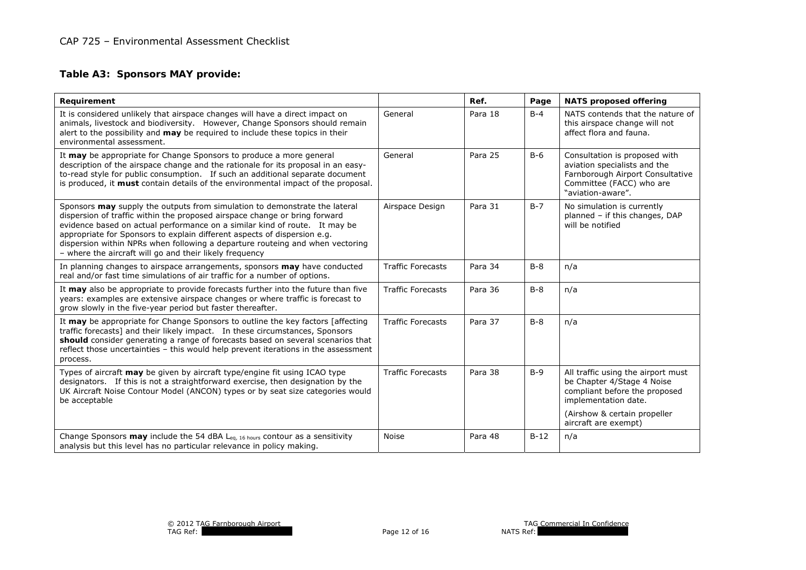#### **Table A3: Sponsors MAY provide:**

| Requirement                                                                                                                                                                                                                                                                                                                                                                                                                                                    |                          | Ref.    | Page   | <b>NATS proposed offering</b>                                                                                                                             |
|----------------------------------------------------------------------------------------------------------------------------------------------------------------------------------------------------------------------------------------------------------------------------------------------------------------------------------------------------------------------------------------------------------------------------------------------------------------|--------------------------|---------|--------|-----------------------------------------------------------------------------------------------------------------------------------------------------------|
| It is considered unlikely that airspace changes will have a direct impact on<br>animals, livestock and biodiversity. However, Change Sponsors should remain<br>alert to the possibility and may be required to include these topics in their<br>environmental assessment.                                                                                                                                                                                      | General                  | Para 18 | $B-4$  | NATS contends that the nature of<br>this airspace change will not<br>affect flora and fauna.                                                              |
| It may be appropriate for Change Sponsors to produce a more general<br>description of the airspace change and the rationale for its proposal in an easy-<br>to-read style for public consumption. If such an additional separate document<br>is produced, it must contain details of the environmental impact of the proposal.                                                                                                                                 | General                  | Para 25 | $B-6$  | Consultation is proposed with<br>aviation specialists and the<br>Farnborough Airport Consultative<br>Committee (FACC) who are<br>"aviation-aware".        |
| Sponsors may supply the outputs from simulation to demonstrate the lateral<br>dispersion of traffic within the proposed airspace change or bring forward<br>evidence based on actual performance on a similar kind of route. It may be<br>appropriate for Sponsors to explain different aspects of dispersion e.g.<br>dispersion within NPRs when following a departure routeing and when vectoring<br>- where the aircraft will go and their likely frequency | Airspace Design          | Para 31 | $B-7$  | No simulation is currently<br>planned - if this changes, DAP<br>will be notified                                                                          |
| In planning changes to airspace arrangements, sponsors <b>may</b> have conducted<br>real and/or fast time simulations of air traffic for a number of options.                                                                                                                                                                                                                                                                                                  | <b>Traffic Forecasts</b> | Para 34 | $B-8$  | n/a                                                                                                                                                       |
| It may also be appropriate to provide forecasts further into the future than five<br>years: examples are extensive airspace changes or where traffic is forecast to<br>grow slowly in the five-year period but faster thereafter.                                                                                                                                                                                                                              | <b>Traffic Forecasts</b> | Para 36 | $B-8$  | n/a                                                                                                                                                       |
| It may be appropriate for Change Sponsors to outline the key factors [affecting]<br>traffic forecasts] and their likely impact. In these circumstances, Sponsors<br>should consider generating a range of forecasts based on several scenarios that<br>reflect those uncertainties - this would help prevent iterations in the assessment<br>process.                                                                                                          | <b>Traffic Forecasts</b> | Para 37 | $B-8$  | n/a                                                                                                                                                       |
| Types of aircraft may be given by aircraft type/engine fit using ICAO type<br>designators. If this is not a straightforward exercise, then designation by the<br>UK Aircraft Noise Contour Model (ANCON) types or by seat size categories would<br>be acceptable                                                                                                                                                                                               | <b>Traffic Forecasts</b> | Para 38 | $B-9$  | All traffic using the airport must<br>be Chapter 4/Stage 4 Noise<br>compliant before the proposed<br>implementation date.<br>(Airshow & certain propeller |
| Change Sponsors may include the 54 dBA Leq, 16 hours contour as a sensitivity<br>analysis but this level has no particular relevance in policy making.                                                                                                                                                                                                                                                                                                         | <b>Noise</b>             | Para 48 | $B-12$ | aircraft are exempt)<br>n/a                                                                                                                               |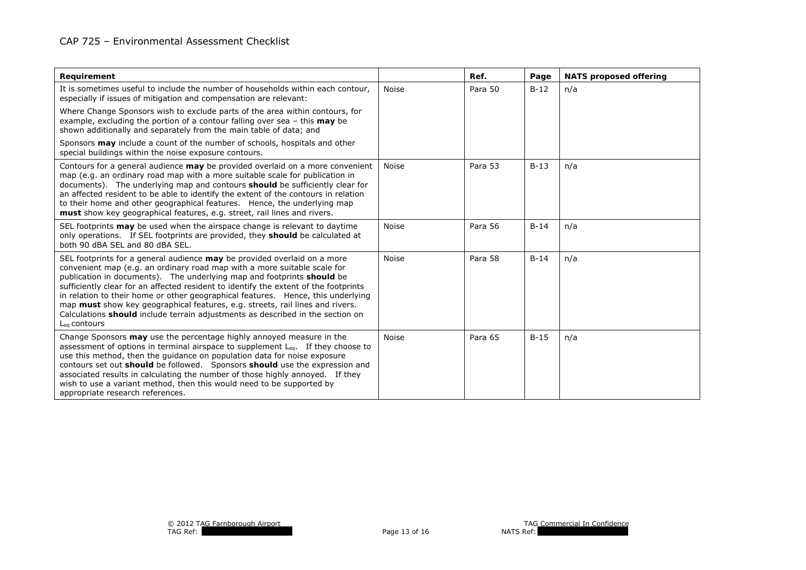| Requirement                                                                                                                                                                                                                                                                                                                                                                                                                                                                                                                                                                                               |              | Ref.    | Page   | <b>NATS proposed offering</b> |
|-----------------------------------------------------------------------------------------------------------------------------------------------------------------------------------------------------------------------------------------------------------------------------------------------------------------------------------------------------------------------------------------------------------------------------------------------------------------------------------------------------------------------------------------------------------------------------------------------------------|--------------|---------|--------|-------------------------------|
| It is sometimes useful to include the number of households within each contour,<br>especially if issues of mitigation and compensation are relevant:                                                                                                                                                                                                                                                                                                                                                                                                                                                      | <b>Noise</b> | Para 50 | $B-12$ | n/a                           |
| Where Change Sponsors wish to exclude parts of the area within contours, for<br>example, excluding the portion of a contour falling over sea $-$ this <b>may</b> be<br>shown additionally and separately from the main table of data; and                                                                                                                                                                                                                                                                                                                                                                 |              |         |        |                               |
| Sponsors may include a count of the number of schools, hospitals and other<br>special buildings within the noise exposure contours.                                                                                                                                                                                                                                                                                                                                                                                                                                                                       |              |         |        |                               |
| Contours for a general audience may be provided overlaid on a more convenient<br>map (e.g. an ordinary road map with a more suitable scale for publication in<br>documents). The underlying map and contours <b>should</b> be sufficiently clear for<br>an affected resident to be able to identify the extent of the contours in relation<br>to their home and other geographical features. Hence, the underlying map<br>must show key geographical features, e.g. street, rail lines and rivers.                                                                                                        | Noise        | Para 53 | $B-13$ | n/a                           |
| SEL footprints may be used when the airspace change is relevant to daytime<br>only operations. If SEL footprints are provided, they should be calculated at<br>both 90 dBA SEL and 80 dBA SEL.                                                                                                                                                                                                                                                                                                                                                                                                            | <b>Noise</b> | Para 56 | $B-14$ | n/a                           |
| SEL footprints for a general audience may be provided overlaid on a more<br>convenient map (e.g. an ordinary road map with a more suitable scale for<br>publication in documents). The underlying map and footprints should be<br>sufficiently clear for an affected resident to identify the extent of the footprints<br>in relation to their home or other geographical features. Hence, this underlying<br>map must show key geographical features, e.g. streets, rail lines and rivers.<br>Calculations should include terrain adjustments as described in the section on<br>L <sub>eg</sub> contours | <b>Noise</b> | Para 58 | $B-14$ | n/a                           |
| Change Sponsors may use the percentage highly annoyed measure in the<br>assessment of options in terminal airspace to supplement Leq. If they choose to<br>use this method, then the guidance on population data for noise exposure<br>contours set out should be followed. Sponsors should use the expression and<br>associated results in calculating the number of those highly annoyed. If they<br>wish to use a variant method, then this would need to be supported by<br>appropriate research references.                                                                                          | <b>Noise</b> | Para 65 | $B-15$ | n/a                           |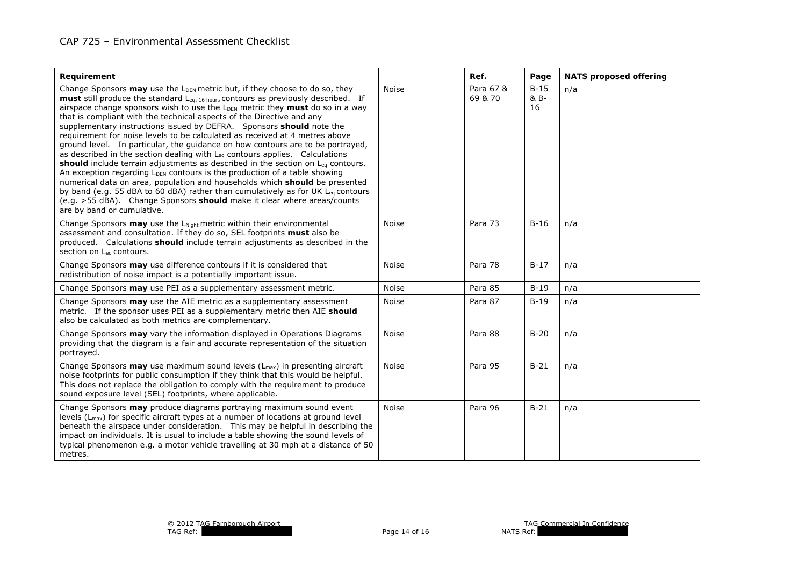| Requirement                                                                                                                                                                                                                                                                                                                                                                                                                                                                                                                                                                                                                                                                                                                                                                                                                                                                                                                                                                                                                                                                                                                     |              | Ref.                 | Page                   | <b>NATS proposed offering</b> |
|---------------------------------------------------------------------------------------------------------------------------------------------------------------------------------------------------------------------------------------------------------------------------------------------------------------------------------------------------------------------------------------------------------------------------------------------------------------------------------------------------------------------------------------------------------------------------------------------------------------------------------------------------------------------------------------------------------------------------------------------------------------------------------------------------------------------------------------------------------------------------------------------------------------------------------------------------------------------------------------------------------------------------------------------------------------------------------------------------------------------------------|--------------|----------------------|------------------------|-------------------------------|
| Change Sponsors may use the LDEN metric but, if they choose to do so, they<br>must still produce the standard Leq, 16 hours contours as previously described. If<br>airspace change sponsors wish to use the L <sub>DEN</sub> metric they must do so in a way<br>that is compliant with the technical aspects of the Directive and any<br>supplementary instructions issued by DEFRA. Sponsors should note the<br>requirement for noise levels to be calculated as received at 4 metres above<br>ground level. In particular, the guidance on how contours are to be portrayed,<br>as described in the section dealing with $L_{eq}$ contours applies. Calculations<br>should include terrain adjustments as described in the section on Leq contours.<br>An exception regarding $L_{\text{DEN}}$ contours is the production of a table showing<br>numerical data on area, population and households which should be presented<br>by band (e.g. 55 dBA to 60 dBA) rather than cumulatively as for UK $L_{eq}$ contours<br>(e.g. >55 dBA). Change Sponsors should make it clear where areas/counts<br>are by band or cumulative. | <b>Noise</b> | Para 67 &<br>69 & 70 | $B-15$<br>$8B -$<br>16 | n/a                           |
| Change Sponsors may use the LNight metric within their environmental<br>assessment and consultation. If they do so, SEL footprints must also be<br>produced. Calculations should include terrain adjustments as described in the<br>section on Leq contours.                                                                                                                                                                                                                                                                                                                                                                                                                                                                                                                                                                                                                                                                                                                                                                                                                                                                    | <b>Noise</b> | Para 73              | $B-16$                 | n/a                           |
| Change Sponsors may use difference contours if it is considered that<br>redistribution of noise impact is a potentially important issue.                                                                                                                                                                                                                                                                                                                                                                                                                                                                                                                                                                                                                                                                                                                                                                                                                                                                                                                                                                                        | <b>Noise</b> | Para 78              | $B-17$                 | n/a                           |
| Change Sponsors may use PEI as a supplementary assessment metric.                                                                                                                                                                                                                                                                                                                                                                                                                                                                                                                                                                                                                                                                                                                                                                                                                                                                                                                                                                                                                                                               | <b>Noise</b> | Para 85              | $B-19$                 | n/a                           |
| Change Sponsors may use the AIE metric as a supplementary assessment<br>metric. If the sponsor uses PEI as a supplementary metric then AIE should<br>also be calculated as both metrics are complementary.                                                                                                                                                                                                                                                                                                                                                                                                                                                                                                                                                                                                                                                                                                                                                                                                                                                                                                                      | <b>Noise</b> | Para 87              | $B-19$                 | n/a                           |
| Change Sponsors may vary the information displayed in Operations Diagrams<br>providing that the diagram is a fair and accurate representation of the situation<br>portrayed.                                                                                                                                                                                                                                                                                                                                                                                                                                                                                                                                                                                                                                                                                                                                                                                                                                                                                                                                                    | <b>Noise</b> | Para 88              | $B-20$                 | n/a                           |
| Change Sponsors may use maximum sound levels (L <sub>max</sub> ) in presenting aircraft<br>noise footprints for public consumption if they think that this would be helpful.<br>This does not replace the obligation to comply with the requirement to produce<br>sound exposure level (SEL) footprints, where applicable.                                                                                                                                                                                                                                                                                                                                                                                                                                                                                                                                                                                                                                                                                                                                                                                                      | <b>Noise</b> | Para 95              | $B-21$                 | n/a                           |
| Change Sponsors may produce diagrams portraying maximum sound event<br>levels $(L_{max})$ for specific aircraft types at a number of locations at ground level<br>beneath the airspace under consideration. This may be helpful in describing the<br>impact on individuals. It is usual to include a table showing the sound levels of<br>typical phenomenon e.g. a motor vehicle travelling at 30 mph at a distance of 50<br>metres.                                                                                                                                                                                                                                                                                                                                                                                                                                                                                                                                                                                                                                                                                           | <b>Noise</b> | Para 96              | $B-21$                 | n/a                           |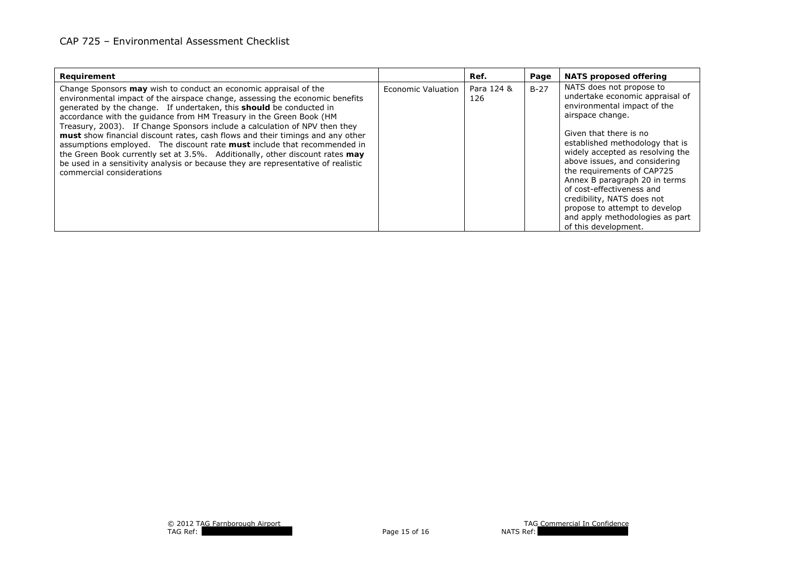| Requirement                                                                                                                                                                                                                                                                                                                                                                                                                                                                                                                                                                                                                                                                                                                                  |                    | Ref.              | Page   | NATS proposed offering                                                                                                                                                                                                                                                                                                                                                                                                                                                 |
|----------------------------------------------------------------------------------------------------------------------------------------------------------------------------------------------------------------------------------------------------------------------------------------------------------------------------------------------------------------------------------------------------------------------------------------------------------------------------------------------------------------------------------------------------------------------------------------------------------------------------------------------------------------------------------------------------------------------------------------------|--------------------|-------------------|--------|------------------------------------------------------------------------------------------------------------------------------------------------------------------------------------------------------------------------------------------------------------------------------------------------------------------------------------------------------------------------------------------------------------------------------------------------------------------------|
| Change Sponsors may wish to conduct an economic appraisal of the<br>environmental impact of the airspace change, assessing the economic benefits<br>generated by the change. If undertaken, this should be conducted in<br>accordance with the quidance from HM Treasury in the Green Book (HM<br>Treasury, 2003). If Change Sponsors include a calculation of NPV then they<br>must show financial discount rates, cash flows and their timings and any other<br>assumptions employed. The discount rate must include that recommended in<br>the Green Book currently set at 3.5%. Additionally, other discount rates may<br>be used in a sensitivity analysis or because they are representative of realistic<br>commercial considerations | Economic Valuation | Para 124 &<br>126 | $B-27$ | NATS does not propose to<br>undertake economic appraisal of<br>environmental impact of the<br>airspace change.<br>Given that there is no<br>established methodology that is<br>widely accepted as resolving the<br>above issues, and considering<br>the requirements of CAP725<br>Annex B paragraph 20 in terms<br>of cost-effectiveness and<br>credibility, NATS does not<br>propose to attempt to develop<br>and apply methodologies as part<br>of this development. |